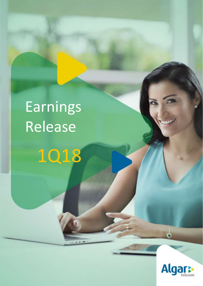# Earnings Release

1Q18  $R$ 

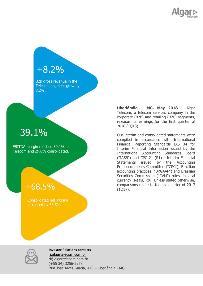

### +8.2%

B2B gross revenue in the Telecom segment grew by 8.2%.

## 39.1%

EBITDA margin reached 39.1% in Telecom and 29.8% consolidated.

### +68.5%

Consolidated net income increased by 68.5%.

**Uberlândia – MG, May 2018** – Algar Telecom, a telecom services company in the corporate (B2B) and retailing (B2C) segments, releases its earnings for the first quarter of 2018 (1Q18).

Our interim and consolidated statements were compiled in accordance with International Financial Reporting Standards IAS 34 for Interim Financial Information issued by the International Accounting Standards Board ("IASB") and CPC 21 (R1) - Interim Financial Statements issued by the Accounting Pronouncements Committee ("CPC"), Brazilian accounting practices ("BRGAAP") and Brazilian Securities Commission ("CVM") rules, in local currency (Reais, R\$). Unless stated otherwise, comparisons relate to the 1st quarter of 2017 (1Q17).



**Investor Relations contacts** ri.algartelecom.com.br [ri@algartelecom.com.br](mailto:ri@algartelecom.com.br) (+55 34) 3256-2978 Rua José Alves Garcia, 415 – Uberlândia - MG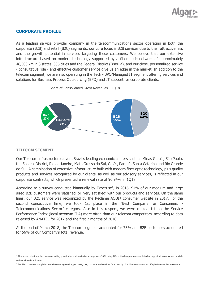

#### **CORPORATE PROFILE**

As a leading service provider company in the telecommunications sector operating in both the corporate (B2B) and retail (B2C) segments, our core focus is B2B services due to their attractiveness and the growth potential in services targeting these customers. We believe that our extensive infrastructure based on modern technology supported by a fiber optic network of approximately 48,500 km in 8 states, 336 cities and the Federal District (Brasilia), and our close, personalized service - consultative role - and effective customer service give us an edge in the market. In addition to the telecom segment, we are also operating in the Tech - BPO/Managed IT segment offering services and solutions for Business Process Outsourcing (BPO) and IT support for corporate clients.



Share of Consolidated Gross Revenues – 1Q18

#### **TELECOM SEGMENT**

Our Telecom infrastructure covers Brazil's leading economic centers such as Minas Gerais, São Paulo, the Federal District, Rio de Janeiro, Mato Grosso do Sul, Goiás, Paraná, Santa Catarina and Rio Grande do Sul. A combination of extensive infrastructure built with modern fiber optic technology, plus quality products and services recognized by our clients, as well as our advisory services, is reflected in our corporate contracts, which presented a renewal rate of 96.94% in 1Q18.

According to a survey conducted biannually by Expertise<sup>1</sup>, in 2016, 94% of our medium and large sized B2B customers were 'satisfied' or 'very satisfied' with our products and services. On the same lines, our B2C service was recognized by the Reclame AQUI² consumer website in 2017. For the second consecutive time, we took 1st place in the "Best Company for Consumers - Telecommunications Sector" category. Also in this respect, we were ranked 1st on the Service Performance Index (local acronym IDA) more often than our telecom competitors, according to data released by ANATEL for 2017 and the first 2 months of 2018.

At the end of March 2018, the Telecom segment accounted for 73% and B2B customers accounted for 56% of our Company's total revenue.

<sup>1</sup> This research institute has been conducting quantitative and qualitative surveys since 2004 using different techniques to reconcile technology with innovative web, mobile and social media solutions.

<sup>2</sup> Brazilian consumer complaints website covering service, purchase, sale, products and services. It is used by 15 million consumers and 120,000 companies are covered.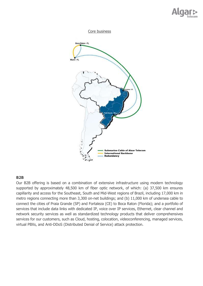





#### **B2B**

Our B2B offering is based on a combination of extensive infrastructure using modern technology supported by approximately 48,500 km of fiber optic network, of which: (a) 37,500 km ensures capillarity and access for the Southeast, South and Mid-West regions of Brazil, including 17,000 km in metro regions connecting more than 3,300 on-net buildings; and (b) 11,000 km of undersea cable to connect the cities of Praia Grande (SP) and Fortaleza (CE) to Boca Raton (Florida); and a portfolio of services that include data links with dedicated IP, voice over IP services, Ethernet, clear channel and network security services as well as standardized technology products that deliver comprehensives services for our customers, such as Cloud, hosting, colocation, videoconferencing, managed services, virtual PBXs, and Anti-DDoS (Distributed Denial of Service) attack protection.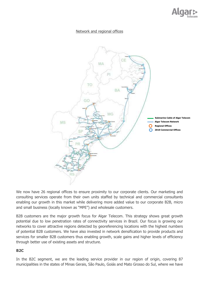

#### Network and regional offices



We now have 26 regional offices to ensure proximity to our corporate clients. Our marketing and consulting services operate from their own units staffed by technical and commercial consultants enabling our growth in this market while delivering more added value to our corporate B2B, micro and small business (locally known as "MPE") and wholesale customers.

B2B customers are the major growth focus for Algar Telecom. This strategy shows great growth potential due to low penetration rates of connectivity services in Brazil. Our focus is growing our networks to cover attractive regions detected by georeferencing locations with the highest numbers of potential B2B customers. We have also invested in network densification to provide products and services for smaller B2B customers thus enabling growth, scale gains and higher levels of efficiency through better use of existing assets and structure.

#### **B2C**

In the B2C segment, we are the leading service provider in our region of origin, covering 87 municipalities in the states of Minas Gerais, São Paulo, Goiás and Mato Grosso do Sul, where we have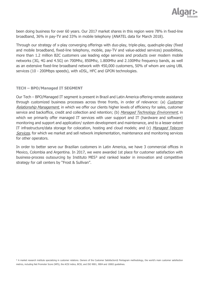

been doing business for over 60 years. Our 2017 market shares in this region were 78% in fixed-line broadband, 36% in pay-TV and 33% in mobile telephony (ANATEL data for March 2018).

Through our strategy of x-play converging offerings with duo-play, triple-play, quadruple-play (fixed and mobile broadband, fixed-line telephony, mobile, pay-TV and value-added services) possibilities, more than 1.2 million B2C customers use leading edge services and products over modern mobile networks (3G, 4G and 4.5G) on 700Mhz, 850Mhz, 1.800Mhz and 2.100Mhz frequency bands, as well as an extensive fixed-line broadband network with 450,000 customers, 50% of whom are using UBL services (10 - 200Mbps speeds), with xDSL, HFC and GPON technologies.

#### **TECH – BPO/Managed IT SEGMENT**

Our Tech – BPO/Managed IT segment is present in Brazil and Latin America offering remote assistance through customized business processes across three fronts, in order of relevance: (a) Customer Relationship Management, in which we offer our clients higher levels of efficiency for sales, customer service and backoffice, credit and collection and retention; (b) Managed Technology Environment, in which we primarily offer managed IT services with user support and IT (hardware and software) monitoring and support and application/ system development and maintenance, and to a lesser extent IT infrastructure/data storage for colocation, hosting and cloud models; and (c) Managed Telecom Services, for which we market and sell network implementation, maintenance and monitoring services for other operators.

In order to better serve our Brazilian customers in Latin America, we have 3 commercial offices in Mexico, Colombia and Argentina. In 2017, we were awarded 1st place for customer satisfaction with business-process outsourcing by Instituto MES<sup>3</sup> and ranked leader in innovation and competitive strategy for call centers by "Frost & Sullivan".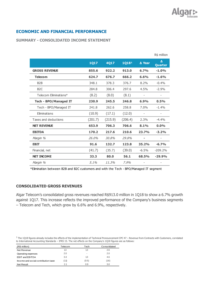

#### **ECONOMIC AND FINANCIAL PERFORMANCE**

#### **SUMMARY - CONSOLIDATED INCOME STATEMENT**

|                       |             |         |                   |                   | R\$ million  |
|-----------------------|-------------|---------|-------------------|-------------------|--------------|
|                       | <b>1Q17</b> | 4Q17    | 1Q18 <sup>1</sup> | ∆ Year            | Δ<br>Quarter |
| <b>GROSS REVENUE</b>  | 855.6       | 922.2   | 913.0             | 6.7%              | $-1.0%$      |
| <b>Telecom</b>        | 624.7       | 676.7   | 666.2             | 6.6%              | $-1.6%$      |
| B <sub>2</sub> B      | 348.1       | 378.3   | 376.7             | 8.2%              | $-0.4%$      |
| B <sub>2</sub> C      | 284.8       | 306.4   | 297.6             | 4.5%              | $-2.9%$      |
| Telecom Fliminations* | (8.2)       | (8.0)   | (8.1)             |                   |              |
| Tech - BPO/Managed IT | 230.9       | 245.5   | 246.8             | 6.9%              | 0.5%         |
| Tech - BPO/Managed IT | 241.8       | 262.6   | 258.8             | 7.0%              | $-1.4%$      |
| Eliminations          | (10.9)      | (17.1)  | (12.0)            | $\qquad \qquad -$ |              |
| Taxes and deductions  | (201.7)     | (215.9) | (206.4)           | 2.3%              | $-4.4%$      |
| <b>NET REVENUE</b>    | 653.9       | 706.3   | 706.6             | 8.1%              | $0.0\%$      |
| <b>EBITDA</b>         | 170.2       | 217.6   | 210.6             | 23.7%             | $-3.2%$      |
| Margin %              | 26.0%       | 30.8%   | 29.8%             |                   |              |
| <b>EBIT</b>           | 91.6        | 132.7   | 123.8             | 35.2%             | $-6.7%$      |
| Financial, net        | (41.7)      | (35.7)  | (39.0)            | $-6.5%$           | $-209.2%$    |
| <b>NET INCOME</b>     | 33.3        | 80.0    | 56.1              | 68.5%             | $-29.9%$     |
| Margin %              | 5.1%        | 11.3%   | 7.9%              |                   |              |

\*Elimination between B2B and B2C customers and with the Tech - BPO/Managed IT segment

#### **CONSOLIDATED GROSS REVENUES**

Algar Telecom's consolidated gross revenues reached R\$913.0 million in 1Q18 to show a 6.7% growth against 1Q17. This increase reflects the improved performance of the Company's business segments – Telecom and Tech, which grew by 6.6% and 6.9%, respectively.

 $1$  The 1Q18 figures already includes the effects of the implementation of Technical Pronouncement CPC 47 – Revenue from Contracts with Customers, correlated to International Accounting Standards – IFRS 15. The net effects on the Company's 1Q18 figures are as follows:

| (R\$ million)                        | Telecom | Tech  | Consolidated |
|--------------------------------------|---------|-------|--------------|
| Net Revenue                          | 1.3     | 1.3   | 2.6          |
| Operating expenses                   | 2.0     |       | 2.0          |
| EBIT and EBITDA                      | 3.3     | 1.3   | 4.6          |
| Income and social contribution taxes | (1.1)   | (0.5) | (1.6)        |
| <b>Net Result</b>                    | 21      | 0.9   | 3.0          |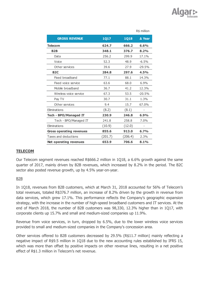|                                 |             |             | R\$ million    |
|---------------------------------|-------------|-------------|----------------|
| <b>GROSS REVENUE</b>            | <b>1Q17</b> | <b>1Q18</b> | ∆ Year         |
| <b>Telecom</b>                  | 624.7       | 666.2       | 6.6%           |
| <b>B2B</b>                      | 348.1       | 376.7       | 8.2%           |
| Data                            | 256.2       | 299.9       | 17.1%          |
| Voice                           | 52.3        | 48.9        | $-6.5%$        |
| Other services                  | 39.6        | 27.9        | $-29.5%$       |
| <b>B2C</b>                      | 284.8       | 297.6       | 4.5%           |
| Fixed broadband                 | 77.1        | 88.1        | 14.3%          |
| Fixed voice service             | 63.6        | 68.0        | 6.9%           |
| Mobile broadband                | 36.7        | 41.2        | 12.3%          |
| Wireless voice service          | 67.3        | 53.5        | $-20.5%$       |
| Pay TV                          | 30.7        | 31.1        | 1.3%           |
| Other services                  | 9.4         | 15.7        | 67.0%          |
| Eliminations                    | (8.2)       | (8.1)       | $\overline{a}$ |
| <b>Tech - BPO/Managed IT</b>    | 230.9       | 246.8       | 6.9%           |
| Tech - BPO/Managed IT           | 241.8       | 258.8       | 7.0%           |
| Eliminations                    | (10.9)      | (12.0)      |                |
| <b>Gross operating revenues</b> | 855.6       | 913.0       | 6.7%           |
| Taxes and deductions            | (201.7)     | (206.4)     | 2.3%           |
| <b>Net operating revenues</b>   | 653.9       | 706.6       | 8.1%           |

#### **TELECOM**

Our Telecom segment revenues reached R\$666.2 million in 1Q18, a 6.6% growth against the same quarter of 2017, mainly driven by B2B revenues, which increased by 8.2% in the period. The B2C sector also posted revenue growth, up by 4.5% year-on-year.

#### B2B

In 1Q18, revenues from B2B customers, which at March 31, 2018 accounted for 56% of Telecom's total revenues, totaled R\$376.7 million, an increase of 8.2% driven by the growth in revenue from data services, which grew 17.1%. This performance reflects the Company's geographic expansion strategy, with the increase in the number of high-speed broadband customers and IT services. At the end of March 2018, the number of B2B customers was 98,330, 12.3% higher than in 1Q17, with corporate clients up 15.7% and small and medium-sized companies up 11.9%.

Revenue from voice services, in turn, dropped by 6.5%, due to the lower wireless voice services provided to small and medium-sized companies in the Company's concession area.

Other services offered to B2B customers decreased by 29.5% (R\$11.7 million) mainly reflecting a negative impact of R\$9.5 million in 1Q18 due to the new accounting rules established by IFRS 15, which was more than offset by positive impacts on other revenue lines, resulting in a net positive effect of R\$1.3 million in Telecom's net revenue.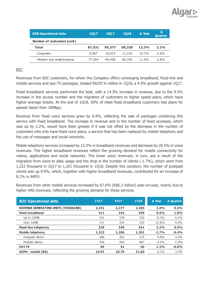

| <b>B2B Operational data</b> | 1017   | 4017   | 1018   | A Year | Δ<br><b>Quarter</b> |
|-----------------------------|--------|--------|--------|--------|---------------------|
| Number of customers (unit)  |        |        |        |        |                     |
| <b>Total</b>                | 87,531 | 95,377 | 98,330 | 12.3%  | 3.1%                |
| Corporate                   | 9,967  | 10,919 | 11,534 | 15.7%  | $5.6\%$             |
| Medium and small business   | 77,564 | 84,458 | 86,796 | 11.9%  | 2.8%                |

#### B2C

Revenues from B2C customers, for whom the Company offers converging broadband, fixed-line and mobile services and pay-TV packages, totaled R\$297.6 million in 1Q18, a 4.5% growth against 1Q17.

Fixed broadband services performed the best, with a 14.3% increase in revenue, due to the 9.5% increase in the access number and the migration of customers to higher speed plans, which have higher average tickets. At the end of 1Q18, 50% of retail fixed broadband customers had plans for speeds faster than 10Mbps.

Revenue from fixed voice services grew by 6.9%, reflecting the sale of packages combining this service with fixed broadband. The increase in revenue and in the number of fixed accesses, which was up by 2.2%, would have been greater if it was not offset by the decrease in the number of customers who only have fixed voice plans, a service that has been replaced by mobile telephony and the use of messages and social networks.

Mobile telephony services increased by 12.3% in broadband revenues and decrease by 20.5% in voice revenues. The higher broadband revenues reflect the growing demand for mobile connectivity for videos, applications and social networks. The lower voice revenues, in turn, are a result of the migration from voice to data usage and the drop in the number of clients (-1.7%), which went from 1,222 thousand in 1Q17 to 1,201 thousand in 1Q18. Despite this variation, the number of postpaid clients was up 9.9%, which, together with higher broadband revenues, contributed for an increase of 8.1% in ARPU.

**B2C Operational data 1T17 4T17 1T18 Δ Year Δ Quarter REVENUE GENERATING UNITS (THOUSAND) 2,252 2,277 2,283 1.4% 0.2%**

Revenues from other mobile services increased by 67.0% (R\$6.3 million) year-on-year, mainly due to higher VAS revenues, reflecting the growing demand for these services.

| DZU UPCI dUVII UDU                         | 88 S A | 41 L Z | <b>TITO</b> | $\Delta$ real | A Quarter |
|--------------------------------------------|--------|--------|-------------|---------------|-----------|
| <b>REVENUE GENERATING UNITS (THOUSAND)</b> | 2,252  | 2,277  | 2,283       | 1.4%          | 0.2%      |
| <b>Fixed broadband</b>                     | 411    | 442    | 450         | 9.5%          | 1.8%      |
| Up to 10MB                                 | 241    | 238    | 226         | $-6.3\%$      | $-5.2\%$  |
| Over 10MB                                  | 171    | 204    | 225         | 31.6%         | 9.9%      |
| <b>Fixed-line telephony</b>                | 529    | 538    | 541         | 2.2%          | 0.5%      |
| <b>Mobile telephony</b>                    | 1,222  | 1,206  | 1,201       | $-1.7%$       | $-0.4%$   |
| Postpaid clients                           | 286    | 302    | 315         | 9.9%          | $4.2\%$   |
| Prepaid clients                            | 936    | 904    | 887         | $-5.3\%$      | $-1.9%$   |
| <b>PAY TV</b>                              | 89     | 91     | 90          | 1.2%          | $-0.6%$   |
| ARPU - mobile (R\$)                        | 19.97  | 20.79  | 21.60       | 8.1%          | $3.9\%$   |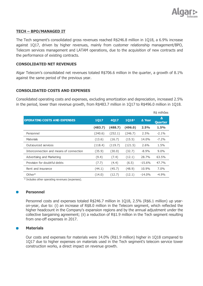

#### **TECH – BPO/MANAGED IT**

The Tech segment's consolidated gross revenues reached R\$246.8 million in 1Q18, a 6.9% increase against 1Q17, driven by higher revenues, mainly from customer relationship management/BPO, Telecom services management and LATAM operations, due to the acquisition of new contracts and the performance of existing contracts.

#### **CONSOLIDATED NET REVENUES**

Algar Telecom's consolidated net revenues totaled R\$706.6 million in the quarter, a growth of 8.1% against the same period of the previous year.

#### **CONSOLIDATED COSTS AND EXPENSES**

Consolidated operating costs and expenses, excluding amortization and depreciation, increased 2.5% in the period, lower than revenue growth, from R\$483.7 million in 1Q17 to R\$496.0 million in 1Q18.

|                                         |         |         |         |          | R\$ milhões         |
|-----------------------------------------|---------|---------|---------|----------|---------------------|
| <b>OPERATING COSTS AND EXPENSES</b>     | 1017    | 4017    | 10181   | ∆ Year   | Δ<br><b>Quarter</b> |
|                                         | (483.7) | (488.7) | (496.0) | 2.5%     | 1.5%                |
| Personnel                               | (240.6) | (252.1) | (246.7) | $2.5\%$  | $-2.1\%$            |
| Materials                               | (13.6)  | (16.7)  | (15.5)  | 14.0%    | $-7.2\%$            |
| Outsourced services                     | (118.4) | (119.7) | (121.5) | $2.6\%$  | 1.5%                |
| Interconnection and means of connection | (35.9)  | (30.0)  | (32.7)  | $-8.9\%$ | $9.0\%$             |
| Advertising and Marketing               | (9.4)   | (7.4)   | (12.1)  | 28.7%    | 63.5%               |
| Provision for doubtful debts            | (7.7)   | (4.4)   | (6.5)   | $-15.6%$ | 47.7%               |
| Rent and insurance                      | (44.1)  | (45.7)  | (48.9)  | 10.9%    | 7.0%                |
| $Other*$                                | (14.0)  | (12.7)  | (12.1)  | $-14.0%$ | $-4.9%$             |

\* Includes other operating revenues (expenses).

#### **Personnel**

Personnel costs and expenses totaled R\$246.7 million in 1Q18, 2.5% (R\$6.1 million) up yearon-year, due to: (i) an increase of R\$8.0 million in the Telecom segment, which reflected the higher headcount in the Company's expansion regions and by the annual adjustment under the collective bargaining agreement; (ii) a reduction of R\$1.9 million in the Tech segment resulting from one-off expenses in 2017.

#### **Materials**

Our costs and expenses for materials were 14.0% (R\$1.9 million) higher in 1Q18 compared to 1Q17 due to higher expenses on materials used in the Tech segment's telecom service tower construction works, a direct impact on revenue growth.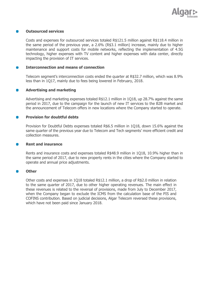

#### **Outsourced services**

Costs and expenses for outsourced services totaled R\$121.5 million against R\$118.4 million in the same period of the previous year, a 2.6% (R\$3.1 million) increase, mainly due to higher maintenance and support costs for mobile networks, reflecting the implementation of 4.5G technology, higher expenses with TV content and higher expenses with data center, directly impacting the provision of IT services.

#### **Interconnection and means of connection**

Telecom segment's interconnection costs ended the quarter at R\$32.7 million, which was 8.9% less than in 1Q17, mainly due to fees being lowered in February, 2018.

#### **Advertising and marketing**

Advertising and marketing expenses totaled R\$12.1 million in 1Q18, up 28.7% against the same period in 2017, due to the campaign for the launch of new IT services to the B2B market and the announcement of Telecom offers in new locations where the Company started to operate.

#### **Provision for doubtful debts**

Provision for Doubtful Debts expenses totaled R\$6.5 million in 1Q18, down 15.6% against the same quarter of the previous year due to Telecom and Tech segments' more efficient credit and collection measures.

#### **Rent and insurance**

Rents and insurance costs and expenses totaled R\$48.9 million in 1Q18, 10.9% higher than in the same period of 2017, due to new property rents in the cities where the Company started to operate and annual price adjustments.

#### **Other**

Other costs and expenses in 1Q18 totaled R\$12.1 million, a drop of R\$2.0 million in relation to the same quarter of 2017, due to other higher operating revenues. The main effect in these revenues is related to the reversal of provisions, made from July to December 2017, when the Company began to exclude the ICMS from the calculation base of the PIS and COFINS contribution. Based on judicial decisions, Algar Telecom reversed these provisions, which have not been paid since January 2018.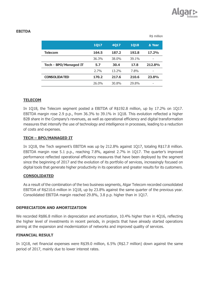

|                       | <b>1Q17</b> | <b>4Q17</b> | <b>1018</b> | ∆ Year                   |
|-----------------------|-------------|-------------|-------------|--------------------------|
| <b>Telecom</b>        | 164.5       | 187.2       | 192.8       | 17.2%                    |
|                       | 36.3%       | 38.0%       | 39.1%       | $\overline{\phantom{0}}$ |
|                       |             |             |             |                          |
| Tech - BPO/Managed IT | 5.7         | 30.4        | 17.8        | 212.8%                   |
|                       | 2.7%        | 13.2%       | 7.8%        | $\overline{\phantom{0}}$ |
| <b>CONSOLIDATED</b>   | 170.2       | 217.6       | 210.6       | 23.8%                    |

**R\$ million** 

#### **TELECOM**

In 1Q18, the Telecom segment posted a EBITDA of R\$192.8 million, up by 17.2% on 1Q17. EBITDA margin rose 2.9 p.p., from 36.3% to 39.1% in 1Q18. This evolution reflected a higher B2B share in the Company's revenues, as well as operational efficiency and digital transformation measures that intensify the use of technology and intelligence in processes, leading to a reduction of costs and expenses.

#### **TECH – BPO/MANAGED IT**

In 1Q18, the Tech segment's EBITDA was up by 212.8% against 1Q17, totaling R\$17.8 million. EBITDA margin rose 5.1 p.p., reaching 7.8%, against 2.7% in 1Q17. The quarter's improved performance reflected operational efficiency measures that have been deployed by the segment since the beginning of 2017 and the evolution of its portfolio of services, increasingly focused on digital tools that generate higher productivity in its operation and greater results for its customers.

#### **CONSOLIDATED**

As a result of the combination of the two business segments, Algar Telecom recorded consolidated EBITDA of R\$210.6 million in 1Q18, up by 23.8% against the same quarter of the previous year. Consolidated EBITDA margin reached 29.8%, 3.8 p.p. higher than in 1Q17.

#### **DEPRECIATION AND AMORTIZATION**

We recorded R\$86.8 million in depreciation and amortization, 10.4% higher than in 4Q16, reflecting the higher level of investments in recent periods, in projects that have already started operations aiming at the expansion and modernization of networks and improved quality of services.

#### **FINANCIAL RESULT**

In 1Q18, net financial expenses were R\$39.0 million, 6.5% (R\$2.7 million) down against the same period of 2017, mainly due to lower interest rates.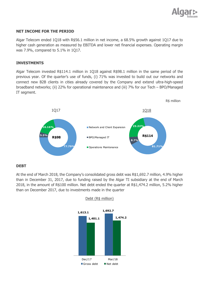

#### **NET INCOME FOR THE PERIOD**

Algar Telecom ended 1Q18 with R\$56.1 million in net income, a 68.5% growth against 1Q17 due to higher cash generation as measured by EBITDA and lower net financial expenses. Operating margin was 7.9%, compared to 5.1% in 1Q17.

#### **INVESTMENTS**

Algar Telecom invested R\$114.1 million in 1Q18 against R\$98.1 million in the same period of the previous year. Of the quarter's use of funds, (i) 71% was invested to build out our networks and connect new B2B clients in cities already covered by the Company and extend ultra-high-speed broadband networks; (ii) 22% for operational maintenance and (iii) 7% for our Tech – BPO/Managed IT segment.



#### **DEBT**

At the end of March 2018, the Company's consolidated gross debt was R\$1,692.7 million, 4.9% higher than in December 31, 2017, due to funding raised by the Algar TI subsidiary at the end of March 2018, in the amount of R\$100 million. Net debt ended the quarter at R\$1,474.2 million, 5.2% higher than on December 2017, due to investments made in the quarter



#### Debt (R\$ million)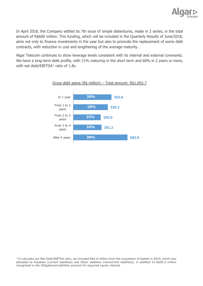

In April 2018, the Company settled its 7th issue of simple debentures, made in 2 series, in the total amount of R\$600 million. This funding, which will be included in the Quarterly Results of June/2018, aims not only to finance investments in the year but also to promote the replacement of some debt contracts, with reduction in cost and lengthening of the average maturity.

Algar Telecom continues to show leverage levels consistent with its internal and external covenants. We have a long-term debt profile, with 21% maturing in the short term and 60% in 2 years or more, with net debt/EBITDA $1$  ratio of 1.8x.



#### Gross debt aging (R\$ million) – Total amount: R\$1,692.7

 $1$ To calculate our Net Debt/EBITDA ratio, we included R\$5.6 million from the acquisition of Optitel in 2015, which was allocated to Payables (current liabilities) and Other liabilities (noncurrent liabilities), in addition to R\$36.5 million recognized in the Obligations/Liabilities account for acquired equity interest.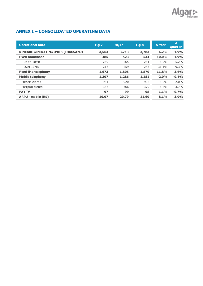

#### **ANNEX I – CONSOLIDATED OPERATING DATA**

| <b>Operational Data</b>                    | 1017  | 4017  | <b>1Q18</b> | ∆ Year  | Δ<br>Quarter |
|--------------------------------------------|-------|-------|-------------|---------|--------------|
| <b>REVENUE GENERATING UNITS (THOUSAND)</b> | 3,563 | 3,713 | 3,783       | 6.2%    | 1.9%         |
| <b>Fixed broadband</b>                     | 485   | 523   | 534         | 10.0%   | 1.9%         |
| Up to 10MB                                 | 269   | 265   | 251         | $-6.9%$ | $-5.2%$      |
| Over 10MB                                  | 216   | 259   | 283         | 31.1%   | 9.3%         |
| <b>Fixed-line telephony</b>                | 1,673 | 1,805 | 1,870       | 11.8%   | 3.6%         |
| <b>Mobile telephony</b>                    | 1,307 | 1,286 | 1,281       | $-2.0%$ | $-0.4%$      |
| Prepaid clients                            | 951   | 920   | 902         | $-5.2%$ | $-2.0%$      |
| Postpaid clients                           | 356   | 366   | 379         | 6.4%    | 3.7%         |
| <b>PAY TV</b>                              | 97    | 99    | 98          | 1.1%    | $-0.7%$      |
| ARPU - mobile (R\$)                        | 19.97 | 20.79 | 21.60       | 8.1%    | 3.9%         |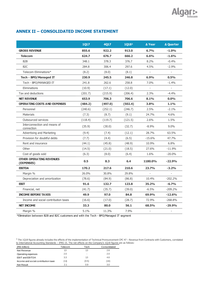

#### **ANNEX II – CONSOLIDATED INCOME STATEMENT**

| 855.6<br>624.7<br>348.1 | 922.2<br>676.7 | 913.0   | 6.7%                     | $-1.0%$                  |
|-------------------------|----------------|---------|--------------------------|--------------------------|
|                         |                |         |                          |                          |
|                         |                | 666.2   | 6.6%                     | $-1.6%$                  |
|                         | 378.3          | 376.7   | 8.2%                     | $-0.4%$                  |
| 284.8                   | 306.4          | 297.6   | 4.5%                     | $-2.9%$                  |
| (8.2)                   | (8.0)          | (8.1)   |                          |                          |
| 230.9                   | 245.5          | 246.8   | 6.9%                     | 0.5%                     |
| 241.8                   | 262.6          | 258.8   | 7.0%                     | $-1.4%$                  |
| (10.9)                  | (17.1)         | (12.0)  |                          | $\overline{a}$           |
| (201.7)                 | (215.9)        | (206.4) | 2.3%                     | $-4.4%$                  |
| 653.9                   | 706.3          | 706.6   | 8.1%                     | $0.0\%$                  |
| (484.2)                 | (497.0)        | (502.4) | 3.8%                     | 1.1%                     |
| (240.6)                 | (252.1)        | (246.7) | 2.5%                     | $-2.1\%$                 |
| (7.3)                   | (8.7)          | (9.1)   | 24.7%                    | 4.6%                     |
| (118.4)                 | (119.7)        | (121.5) | 2.6%                     | 1.5%                     |
| (35.9)                  | (30.0)         | (32.7)  | $-8.9%$                  | $9.0\%$                  |
| (9.4)                   | (7.4)          | (12.1)  | 28.7%                    | 63.5%                    |
| (7.7)                   | (4.4)          | (6.5)   | $-15.6%$                 | 47.7%                    |
| (44.1)                  | (45.8)         | (48.9)  | 10.9%                    | 6.8%                     |
| (14.5)                  | (21.0)         | (18.5)  | 27.6%                    | $-11.9%$                 |
| (6.3)                   | (8.0)          | (6.4)   | 1.6%                     | $-20.0%$                 |
| 0.5                     | 8.3            | 6.4     | 1180.0%                  | $-22.9%$                 |
| 170.2                   | 217.6          | 210.6   | 23.7%                    | $-3.2%$                  |
| 26.0%                   | 30.8%          | 29.8%   |                          |                          |
| (78.6)                  | (84.9)         | (86.8)  | 10.4%                    | $-202.2%$                |
| 91.6                    | 132.7          | 123.8   | 35.2%                    | $-6.7%$                  |
| (41.7)                  | (35.7)         | (39.0)  | $-6.5%$                  | $-209.2%$                |
| 49.9                    | 97.0           | 84.8    | 69.9%                    | $-12.6%$                 |
| (16.6)                  | (17.0)         | (28.7)  | 72.9%                    | $-268.8%$                |
| 33.3                    | 80.0           | 56.1    | 68.5%                    | $-29.9%$                 |
| 5.1%                    | 11.3%          | 7.9%    | $\overline{\phantom{0}}$ | $\overline{\phantom{0}}$ |
|                         |                |         |                          |                          |

\*Elimination between B2B and B2C customers and with the Tech - BPO/Managed IT segment

 $1$  The 1Q18 figures already includes the effects of the implementation of Technical Pronouncement CPC 47 – Revenue from Contracts with Customers, correlated to International Accounting Standards – IFRS 15. The net effects on the Company's 1Q18 figures are as follows:

| (R\$ million)                        | Telecom | Tech  | Consolidated |
|--------------------------------------|---------|-------|--------------|
| Net Revenue                          | 1.3     | 13    | 2.6          |
| Operating expenses                   | 2.0     | ۰     | 2.0          |
| EBIT and EBITDA                      | 3.3     | 13    | 4.6          |
| Income and social contribution taxes | (1.1)   | (0.5) | (1.6)        |
| Net Result                           | 21      | 0.9   | 3.0          |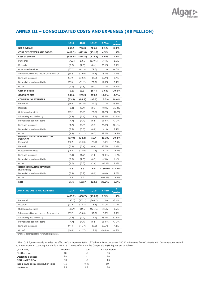

#### **ANNEX III – CONSOLIDATED COSTS AND EXPENSES (R\$ MILLION)**

|                                                      | 1Q17    | 4Q17    | 1Q18 <sup>1</sup> | ∆ Year         | Δ<br><b>Quarter</b> |
|------------------------------------------------------|---------|---------|-------------------|----------------|---------------------|
| <b>NET REVENUE</b>                                   | 653.9   | 706.3   | 706.6             | 8.1%           | 0.0%                |
| <b>COST OF SERVICES AND GOODS</b>                    | (412.3) | (422.8) | (431.0)           | 4.5%           | 1.9%                |
| Cost of services                                     | (406.0) | (414.8) | (424.6)           | 4.6%           | 2.4%                |
| Personnel                                            | (173.7) | (176.7) | (179.6)           | 3.4%           | 1.6%                |
| <b>Materials</b>                                     | (6.7)   | (7.9)   | (8.4)             | 25.4%          | 6.3%                |
| Outsourced services                                  | (77.3)  | (82.3)  | (79.0)            | 2.2%           | $-4.0%$             |
| Interconnection and means of connection              | (35.9)  | (30.0)  | (32.7)            | $-8.9%$        | $9.0\%$             |
| Rent and insurance                                   | (37.9)  | (39.2)  | (42.6)            | 12.4%          | 8.7%                |
| Depreciation and amortization                        | (65.6)  | (71.2)  | (72.9)            | 11.1%          | 2.4%                |
| Other                                                | (9.0)   | (7.5)   | (9.3)             | 3.3%           | 24.0%               |
| Cost of goods                                        | (6.3)   | (8.0)   | (6.4)             | 1.6%           | $-20.0%$            |
| <b>GROSS PROFIT</b>                                  | 241.6   | 283.5   | 275.6             | 14.1%          | $-2.8%$             |
| <b>COMMERCIAL EXPENSES</b>                           | (83.5)  | (84.7)  | (98.8)            | 18.3%          | 16.6%               |
| Personnel                                            | (36.4)  | (41.4)  | (39.0)            | 7.1%           | $-5.8%$             |
| Materials                                            | (0.3)   | (0.4)   | (0.3)             | 0.0%           | $-25.0%$            |
| Outsourced services                                  | (15.1)  | (9.4)   | (22.8)            | 51.0%          | 142.6%              |
| Advertising and Marketing                            | (9.4)   | (7.4)   | (12.1)            | 28.7%          | 63.5%               |
| Provision for doubtful debts                         | (7.7)   | (4.4)   | (6.5)             | $-15.6%$       | 47.7%               |
| Rent and insurance                                   | (4.2)   | (4.8)   | (5.3)             | 26.2%          | 10.4%               |
| Depreciation and amortization                        | (5.5)   | (5.8)   | (6.0)             | 9.1%           | 3.4%                |
| Other                                                | (4.8)   | (11.1)  | (6.7)             | 39.6%          | $-39.6%$            |
| <b>GENERAL AND ADMINISTRATIVE</b><br><b>FXPFNSFS</b> | (67.0)  | (74.4)  | (59.4)            | -11.3%         | $-20.2%$            |
| Personnel                                            | (30.5)  | (34.0)  | (28.1)            | $-7.9%$        | $-17.4%$            |
| Materials                                            | (0.3)   | (0.4)   | (0.4)             | 33.3%          | $0.0\%$             |
| Outsourced services                                  | (26.0)  | (28.0)  | (19.7)            | $-24.2%$       | $-29.6%$            |
| Rent and insurance                                   | (2.0)   | (1.7)   | (1.0)             | $-50.0\%$      | $-41.2%$            |
| Depreciation and amortization                        | (6.6)   | (7.0)   | (6.9)             | 4.5%           | $-1.4%$             |
| Other                                                | (1.7)   | (3.3)   | (3.4)             | 100.0%         | 3.0%                |
| <b>OTHER OPERATING REVENUES</b><br>(EXPENSES)        | 0.5     | 8.3     | 6.4               | 1180.0% -22.9% |                     |
| Depreciation and amortization                        | (0.9)   | (0.9)   | (0.9)             | 0.0%           | 4.2%                |
| Other                                                | 1.5     | 9.2     | 7.3               | 402.2%         | $-20.4%$            |
| <b>EBIT</b>                                          | 91.6    | 132.7   | 123.8             | 35.2%          | $-6.7%$             |

| <b>OPERATING COSTS AND EXPENSES</b>     | 1017    | 4017    | 10181   | A Year   | Δ<br><b>Quarter</b> |
|-----------------------------------------|---------|---------|---------|----------|---------------------|
|                                         | (483.7) | (488.7) | (496.0) | 2.5%     | 1.5%                |
| Personnel                               | (240.6) | (252.1) | (246.7) | 2.5%     | $-2.1%$             |
| <b>Materials</b>                        | (13.6)  | (16.7)  | (15.5)  | 14.0%    | $-7.2%$             |
| Outsourced services                     | (118.4) | (119.7) | (121.5) | 2.6%     | 1.5%                |
| Interconnection and means of connection | (35.9)  | (30.0)  | (32.7)  | $-8.9%$  | $9.0\%$             |
| Advertising and Marketing               | (9.4)   | (7.4)   | (12.1)  | 28.7%    | 63.5%               |
| Provision for doubtful debts            | (7.7)   | (4.4)   | (6.5)   | $-15.6%$ | 47.7%               |
| Rent and insurance                      | (44.1)  | (45.7)  | (48.9)  | 10.9%    | 7.0%                |
| Other*                                  | (14.0)  | (12.7)  | (12.1)  | $-14.0%$ | $-4.9%$             |

\* Includes other operating revenues (expenses).

 $^1$  The 1Q18 figures already includes the effects of the implementation of Technical Pronouncement CPC 47 – Revenue from Contracts with Customers, correlated to International Accounting Standards – IFRS 15. The net effects on the Company's 1Q18 figures are as follows:

| (R\$ million)                        | Telecom | Tech  | Consolidated |
|--------------------------------------|---------|-------|--------------|
| Net Revenue                          | 1.3     | 1.3   | 2.6          |
| Operating expenses                   | 2.0     | ۰     | 2.0          |
| EBIT and EBITDA                      | 3.3     | 1.3   | 4.6          |
| Income and social contribution taxes | (1.1)   | (0.5) | (1.6)        |
| Net Result                           | 21      | 0.9   | 3.0          |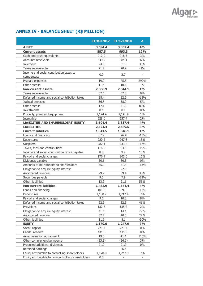#### **31/03/2017 31/12/2018 ∆ ASSET 3,694.4 3,837.4 4% Current assets 887.5 993.3 12%** Cash and cash equivalents 212.0 218.5 3% Accounts receivable 6% and 549.9 584.1 6% Inventory 24.0 31.3 30% Taxes recoverable  $71.2$   $70.4$   $-1\%$ Income and social contribution taxes to compensate contraction and compensate the compensate of the compensate of  $0.0$ Prepaid expenses 299% Other credits **11.4** 10.5 -8% **Non-current assets 2,806.9 2,844.1 1%** Taxes recoverable and the control of the 62.6 62.8 0% Deferred income and social contribution taxes  $38.4$  32.6  $-15\%$ Judicial deposits 36.3 38.0 5% Other credits 17.1 31.3 83% Investments  $0.1$   $0.1$   $0\%$ Property, plant and equipment 2,124.4 2,141.9 1% Intangible 528.0 537.4 2% **LIABILITIES AND SHAREHOLDERS' EQUITY 3,694.4 3,837.4 4% LIABILITIES 2,524.4 2,589.5 3% Current liabilities 1,041.5 1,048.1 1%** Loans and financing 87.9 76.4 -13% Debentures 220.2 247.8 13% Suppliers 282.1 233.8 -17% Taxes, fees and contributions 116.5 94.0 -19% Income and social contribution taxes payable 8.8 9.9 13% Payroll and social charges  $176.9$  203.0  $15\%$ Dividends payable 60.6 60.5 0% Amounts to be refunded to shareholders 35.9 31.3 -13% Obligation to acquire equity interest **-** 22.5 -Anticipated revenue 29.7 39.4 33% Securities payable 6 12% and 5 12% and 5 12% and 5 12% and 5 12% Other liabilities 13.9 21.6 55% **Non-current liabilities 1,482.9 1,541.4 4%** Loans and financing 101.8 89.0 -13% Debentures 1,130.2 1,212.4 7% Payroll and social charges and social charges and social charges and social sets and social charges and social  $8\%$ Deferred income and social contribution taxes  $22.9$  32.3 41% Provisions 132.6 135.2 2% Obligation to acquire equity interest 41.6 14.1 -66% Anticipated revenue 32.7 40.0 22% Other liabilities 11.6 8.1 -30% **EQUITY 1,170.0 1,247.9 7%** Socail capital **721.4** 721.4 0% Capital reserve **431.6** 431.6 6 431.6 6 431.6 6 431.6 6 431.6 431.6 6  $\frac{1}{2}$ Asset valuation adjustment 19.0 41.1 116% Other comprehensive income (23.9) (24.5) 3% Proposed additional dividends 21.9 21.9 0% Retained earnings and the set of the set of the set of the set of the set of the set of the set of the set of the set of the set of the set of the set of the set of the set of the set of the set of the set of the set of th Equity attributable to controlling shareholders  $1,170.0$   $1,247.9$   $7\%$ Equity attributable to non-controlling shareholders  $0.0$

#### **ANNEX IV - BALANCE SHEET (R\$ MILLION)**